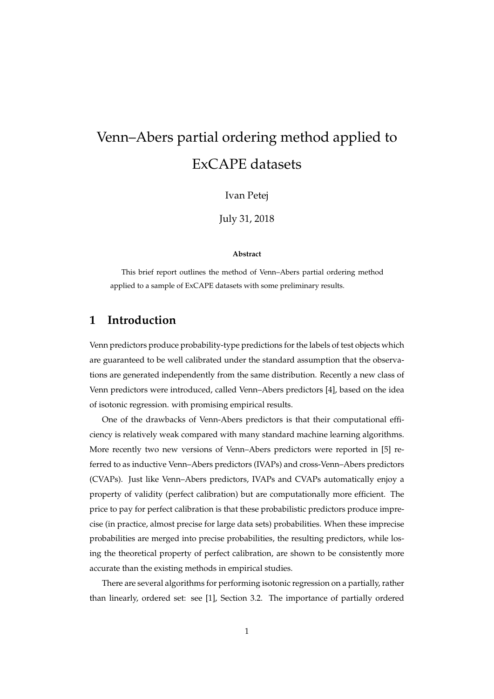# Venn–Abers partial ordering method applied to ExCAPE datasets

Ivan Petej

July 31, 2018

#### **Abstract**

This brief report outlines the method of Venn–Abers partial ordering method applied to a sample of ExCAPE datasets with some preliminary results.

#### **1 Introduction**

Venn predictors produce probability-type predictions for the labels of test objects which are guaranteed to be well calibrated under the standard assumption that the observations are generated independently from the same distribution. Recently a new class of Venn predictors were introduced, called Venn–Abers predictors [4], based on the idea of isotonic regression. with promising empirical results.

One of the drawbacks of Venn-Abers predictors is that their computational efficiency is relatively weak compared with many standard machine learning algorithms. More recently two new versions of Venn–Abers predictors were reported in [5] referred to as inductive Venn–Abers predictors (IVAPs) and cross-Venn–Abers predictors (CVAPs). Just like Venn–Abers predictors, IVAPs and CVAPs automatically enjoy a property of validity (perfect calibration) but are computationally more efficient. The price to pay for perfect calibration is that these probabilistic predictors produce imprecise (in practice, almost precise for large data sets) probabilities. When these imprecise probabilities are merged into precise probabilities, the resulting predictors, while losing the theoretical property of perfect calibration, are shown to be consistently more accurate than the existing methods in empirical studies.

There are several algorithms for performing isotonic regression on a partially, rather than linearly, ordered set: see [1], Section 3.2. The importance of partially ordered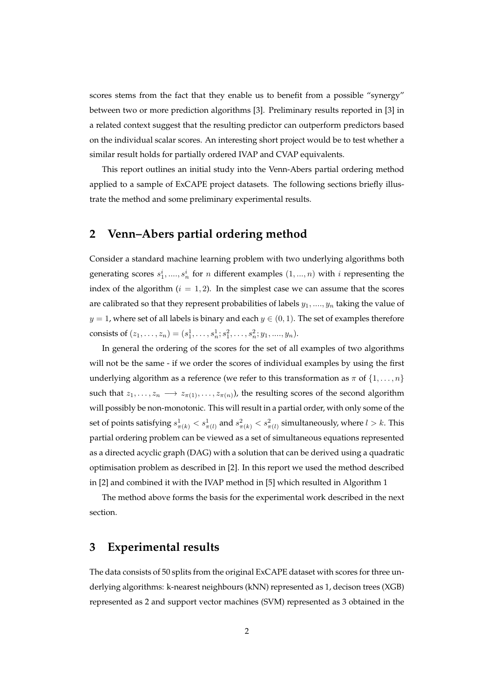scores stems from the fact that they enable us to benefit from a possible "synergy" between two or more prediction algorithms [3]. Preliminary results reported in [3] in a related context suggest that the resulting predictor can outperform predictors based on the individual scalar scores. An interesting short project would be to test whether a similar result holds for partially ordered IVAP and CVAP equivalents.

This report outlines an initial study into the Venn-Abers partial ordering method applied to a sample of ExCAPE project datasets. The following sections briefly illustrate the method and some preliminary experimental results.

#### **2 Venn–Abers partial ordering method**

Consider a standard machine learning problem with two underlying algorithms both generating scores  $s_1^i$ , ....,  $s_n^i$  for n different examples  $(1, ..., n)$  with i representing the index of the algorithm  $(i = 1, 2)$ . In the simplest case we can assume that the scores are calibrated so that they represent probabilities of labels  $y_1, \ldots, y_n$  taking the value of  $y = 1$ , where set of all labels is binary and each  $y \in (0, 1)$ . The set of examples therefore consists of  $(z_1, \ldots, z_n) = (s_1^1, \ldots, s_n^1; s_1^2, \ldots, s_n^2; y_1, \ldots, y_n).$ 

In general the ordering of the scores for the set of all examples of two algorithms will not be the same - if we order the scores of individual examples by using the first underlying algorithm as a reference (we refer to this transformation as  $\pi$  of  $\{1, \ldots, n\}$ such that  $z_1, \ldots, z_n \longrightarrow z_{\pi(1)}, \ldots, z_{\pi(n)}$ ), the resulting scores of the second algorithm will possibly be non-monotonic. This will result in a partial order, with only some of the set of points satisfying  $s_{\pi(k)}^1 < s_{\pi(l)}^1$  and  $s_{\pi(k)}^2 < s_{\pi(l)}^2$  simultaneously, where  $l > k$ . This partial ordering problem can be viewed as a set of simultaneous equations represented as a directed acyclic graph (DAG) with a solution that can be derived using a quadratic optimisation problem as described in [2]. In this report we used the method described in [2] and combined it with the IVAP method in [5] which resulted in Algorithm 1

The method above forms the basis for the experimental work described in the next section.

#### **3 Experimental results**

The data consists of 50 splits from the original ExCAPE dataset with scores for three underlying algorithms: k-nearest neighbours (kNN) represented as 1, decison trees (XGB) represented as 2 and support vector machines (SVM) represented as 3 obtained in the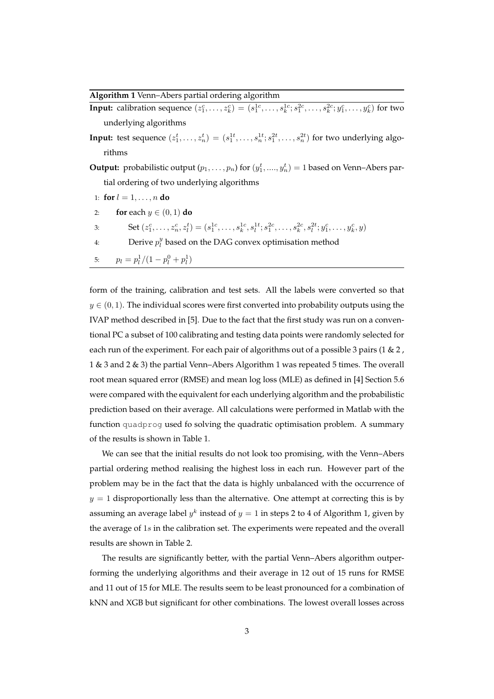**Algorithm 1** Venn–Abers partial ordering algorithm

| <b>Input:</b> calibration sequence $(z_1^c, , z_k^c) = (s_1^{1c}, , s_k^{1c}; s_1^{2c}, , s_k^{2c}; y_1^c, , y_k^c)$ for two                      |
|---------------------------------------------------------------------------------------------------------------------------------------------------|
| underlying algorithms                                                                                                                             |
| <b>Input:</b> test sequence $(z_1^t, , z_n^t) = (s_1^{1t}, , s_n^{1t}; s_1^{2t}, , s_n^{2t})$ for two underlying algo-                            |
| rithms                                                                                                                                            |
| <b>Output:</b> probabilistic output $(p_1, \ldots, p_n)$ for $(y_1^t, \ldots, y_n^t) = 1$ based on Venn-Abers par-                                |
| tial ordering of two underlying algorithms                                                                                                        |
| 1: for $l = 1, , n$ do                                                                                                                            |
| <b>for</b> each $y \in (0,1)$ <b>do</b><br>2:                                                                                                     |
| Set $(z_1^c, \ldots, z_n^c, z_i^t) = (s_1^{1c}, \ldots, s_k^{1c}, s_l^{1t}; s_1^{2c}, \ldots, s_k^{2c}, s_l^{2t}; y_1^c, \ldots, y_k^c, y)$<br>3: |
| Derive $p_i^y$ based on the DAG convex optimisation method<br>4:                                                                                  |
| $p_l = p_l^1/(1-p_l^0+p_l^1)$<br>5:                                                                                                               |

form of the training, calibration and test sets. All the labels were converted so that  $y \in (0, 1)$ . The individual scores were first converted into probability outputs using the IVAP method described in [5]. Due to the fact that the first study was run on a conventional PC a subset of 100 calibrating and testing data points were randomly selected for each run of the experiment. For each pair of algorithms out of a possible 3 pairs (1  $\&$  2, 1 & 3 and 2 & 3) the partial Venn–Abers Algorithm 1 was repeated 5 times. The overall root mean squared error (RMSE) and mean log loss (MLE) as defined in [4] Section 5.6 were compared with the equivalent for each underlying algorithm and the probabilistic prediction based on their average. All calculations were performed in Matlab with the function quadprog used fo solving the quadratic optimisation problem. A summary of the results is shown in Table 1.

We can see that the initial results do not look too promising, with the Venn–Abers partial ordering method realising the highest loss in each run. However part of the problem may be in the fact that the data is highly unbalanced with the occurrence of  $y = 1$  disproportionally less than the alternative. One attempt at correcting this is by assuming an average label  $y^k$  instead of  $y = 1$  in steps 2 to 4 of Algorithm 1, given by the average of 1s in the calibration set. The experiments were repeated and the overall results are shown in Table 2.

The results are significantly better, with the partial Venn–Abers algorithm outperforming the underlying algorithms and their average in 12 out of 15 runs for RMSE and 11 out of 15 for MLE. The results seem to be least pronounced for a combination of kNN and XGB but significant for other combinations. The lowest overall losses across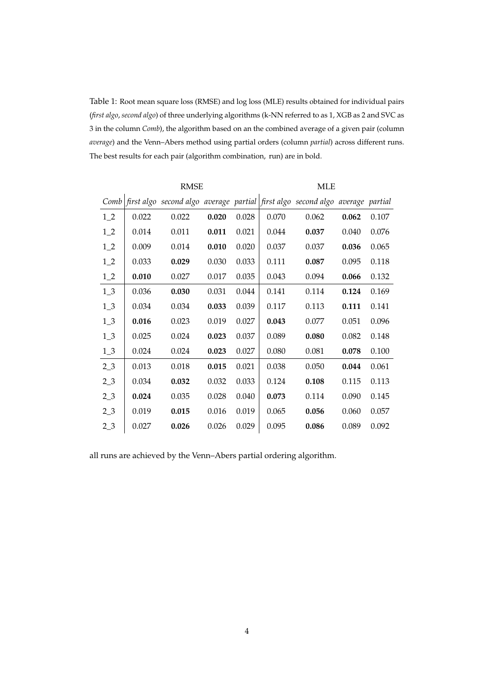Table 1: Root mean square loss (RMSE) and log loss (MLE) results obtained for individual pairs (*first algo*, *second algo*) of three underlying algorithms (k-NN referred to as 1, XGB as 2 and SVC as 3 in the column *Comb*), the algorithm based on an the combined average of a given pair (column *average*) and the Venn–Abers method using partial orders (column *partial*) across different runs. The best results for each pair (algorithm combination, run) are in bold.

|                  | <b>RMSE</b> |       |       |       | <b>MLE</b> |                                                                                                                                          |       |       |
|------------------|-------------|-------|-------|-------|------------|------------------------------------------------------------------------------------------------------------------------------------------|-------|-------|
| Comb             |             |       |       |       |            | $\vert$ first algo $\,$ second algo $\,$ average $\,$ partial $\, \vert$ first algo $\,$ second $\,$ algo $\,$ average $\,$ partial $\,$ |       |       |
| $1_{2}$          | 0.022       | 0.022 | 0.020 | 0.028 | 0.070      | 0.062                                                                                                                                    | 0.062 | 0.107 |
| $1_{-2}$         | 0.014       | 0.011 | 0.011 | 0.021 | 0.044      | 0.037                                                                                                                                    | 0.040 | 0.076 |
| $1_{2}$          | 0.009       | 0.014 | 0.010 | 0.020 | 0.037      | 0.037                                                                                                                                    | 0.036 | 0.065 |
| $1_{-2}$         | 0.033       | 0.029 | 0.030 | 0.033 | 0.111      | 0.087                                                                                                                                    | 0.095 | 0.118 |
| $1_{-2}$         | 0.010       | 0.027 | 0.017 | 0.035 | 0.043      | 0.094                                                                                                                                    | 0.066 | 0.132 |
| $1_{-}3$         | 0.036       | 0.030 | 0.031 | 0.044 | 0.141      | 0.114                                                                                                                                    | 0.124 | 0.169 |
| $1_{.}3$         | 0.034       | 0.034 | 0.033 | 0.039 | 0.117      | 0.113                                                                                                                                    | 0.111 | 0.141 |
| $1_3$            | 0.016       | 0.023 | 0.019 | 0.027 | 0.043      | 0.077                                                                                                                                    | 0.051 | 0.096 |
| $1_3$            | 0.025       | 0.024 | 0.023 | 0.037 | 0.089      | 0.080                                                                                                                                    | 0.082 | 0.148 |
| $1_3$            | 0.024       | 0.024 | 0.023 | 0.027 | 0.080      | 0.081                                                                                                                                    | 0.078 | 0.100 |
| 2 <sub>2</sub>   | 0.013       | 0.018 | 0.015 | 0.021 | 0.038      | 0.050                                                                                                                                    | 0.044 | 0.061 |
| 2 <sub>2</sub>   | 0.034       | 0.032 | 0.032 | 0.033 | 0.124      | 0.108                                                                                                                                    | 0.115 | 0.113 |
| 2 <sub>2</sub>   | 0.024       | 0.035 | 0.028 | 0.040 | 0.073      | 0.114                                                                                                                                    | 0.090 | 0.145 |
| 2 <sub>2</sub>   | 0.019       | 0.015 | 0.016 | 0.019 | 0.065      | 0.056                                                                                                                                    | 0.060 | 0.057 |
| 2 <sub>1</sub> 3 | 0.027       | 0.026 | 0.026 | 0.029 | 0.095      | 0.086                                                                                                                                    | 0.089 | 0.092 |

all runs are achieved by the Venn–Abers partial ordering algorithm.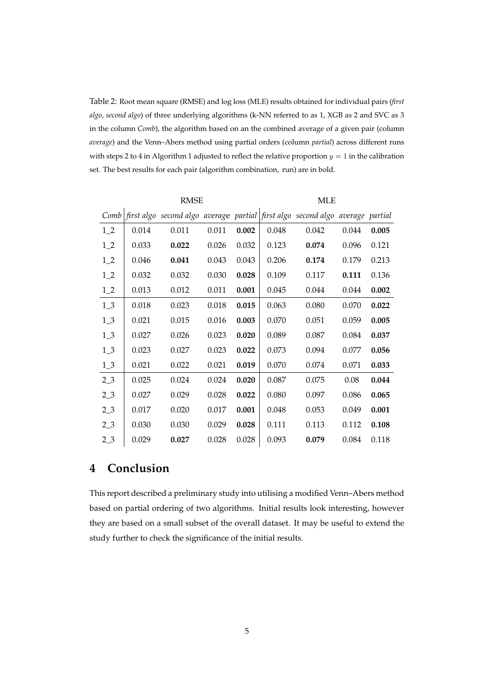Table 2: Root mean square (RMSE) and log loss (MLE) results obtained for individual pairs (*first algo*, *second algo*) of three underlying algorithms (k-NN referred to as 1, XGB as 2 and SVC as 3 in the column *Comb*), the algorithm based on an the combined average of a given pair (column *average*) and the Venn–Abers method using partial orders (column *partial*) across different runs with steps 2 to 4 in Algorithm 1 adjusted to reflect the relative proportion  $y = 1$  in the calibration set. The best results for each pair (algorithm combination, run) are in bold.

|                | <b>RMSE</b> |                                                                               |       |       | <b>MLE</b> |       |       |       |
|----------------|-------------|-------------------------------------------------------------------------------|-------|-------|------------|-------|-------|-------|
| Comb           |             | first algo second algo average partial first algo second algo average partial |       |       |            |       |       |       |
| $1_{-2}$       | 0.014       | 0.011                                                                         | 0.011 | 0.002 | 0.048      | 0.042 | 0.044 | 0.005 |
| $1_{-2}$       | 0.033       | 0.022                                                                         | 0.026 | 0.032 | 0.123      | 0.074 | 0.096 | 0.121 |
| $1_{-2}$       | 0.046       | 0.041                                                                         | 0.043 | 0.043 | 0.206      | 0.174 | 0.179 | 0.213 |
| $1\_2$         | 0.032       | 0.032                                                                         | 0.030 | 0.028 | 0.109      | 0.117 | 0.111 | 0.136 |
| $1_{-2}$       | 0.013       | 0.012                                                                         | 0.011 | 0.001 | 0.045      | 0.044 | 0.044 | 0.002 |
| $1_{-}3$       | 0.018       | 0.023                                                                         | 0.018 | 0.015 | 0.063      | 0.080 | 0.070 | 0.022 |
| $1\_3$         | 0.021       | 0.015                                                                         | 0.016 | 0.003 | 0.070      | 0.051 | 0.059 | 0.005 |
| $1\_3$         | 0.027       | 0.026                                                                         | 0.023 | 0.020 | 0.089      | 0.087 | 0.084 | 0.037 |
| $1\_3$         | 0.023       | 0.027                                                                         | 0.023 | 0.022 | 0.073      | 0.094 | 0.077 | 0.056 |
| $1_{-}3$       | 0.021       | 0.022                                                                         | 0.021 | 0.019 | 0.070      | 0.074 | 0.071 | 0.033 |
| 2 <sub>2</sub> | 0.025       | 0.024                                                                         | 0.024 | 0.020 | 0.087      | 0.075 | 0.08  | 0.044 |
| $2_{-}3$       | 0.027       | 0.029                                                                         | 0.028 | 0.022 | 0.080      | 0.097 | 0.086 | 0.065 |
| $2_{-}3$       | 0.017       | 0.020                                                                         | 0.017 | 0.001 | 0.048      | 0.053 | 0.049 | 0.001 |
| 2 <sub>2</sub> | 0.030       | 0.030                                                                         | 0.029 | 0.028 | 0.111      | 0.113 | 0.112 | 0.108 |
| $2_{-}3$       | 0.029       | 0.027                                                                         | 0.028 | 0.028 | 0.093      | 0.079 | 0.084 | 0.118 |

### **4 Conclusion**

This report described a preliminary study into utilising a modified Venn–Abers method based on partial ordering of two algorithms. Initial results look interesting, however they are based on a small subset of the overall dataset. It may be useful to extend the study further to check the significance of the initial results.